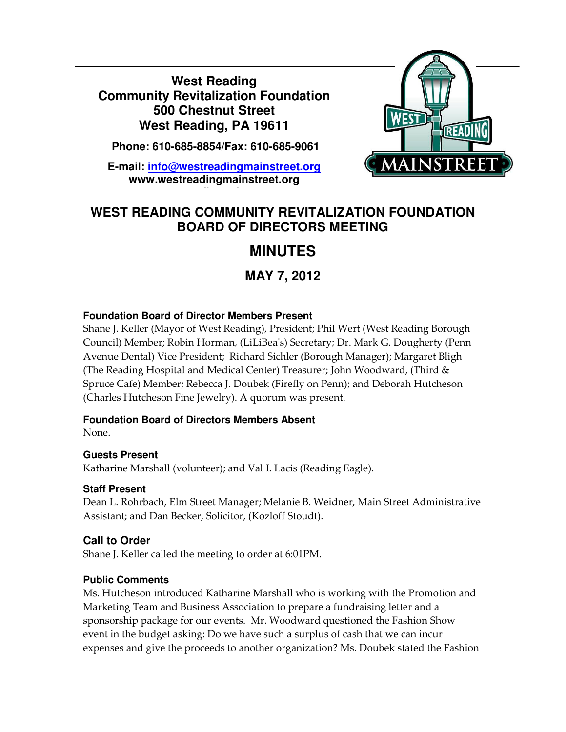**West Reading Community Revitalization Foundation 500 Chestnut Street West Reading, PA 19611** 

 **Phone: 610-685-8854/Fax: 610-685-9061** 

**E-mail: info@westreadingmainstreet.org www.westreadingmainstreet.org**

**www.westreadingmainstreet.org**



## **WEST READING COMMUNITY REVITALIZATION FOUNDATION BOARD OF DIRECTORS MEETING**

# **MINUTES**

**MAY 7, 2012** 

#### **Foundation Board of Director Members Present**

Shane J. Keller (Mayor of West Reading), President; Phil Wert (West Reading Borough Council) Member; Robin Horman, (LiLiBea's) Secretary; Dr. Mark G. Dougherty (Penn Avenue Dental) Vice President; Richard Sichler (Borough Manager); Margaret Bligh (The Reading Hospital and Medical Center) Treasurer; John Woodward, (Third & Spruce Cafe) Member; Rebecca J. Doubek (Firefly on Penn); and Deborah Hutcheson (Charles Hutcheson Fine Jewelry). A quorum was present.

#### **Foundation Board of Directors Members Absent**

None.

Ī

#### **Guests Present**

Katharine Marshall (volunteer); and Val I. Lacis (Reading Eagle).

#### **Staff Present**

Dean L. Rohrbach, Elm Street Manager; Melanie B. Weidner, Main Street Administrative Assistant; and Dan Becker, Solicitor, (Kozloff Stoudt).

### **Call to Order**

Shane J. Keller called the meeting to order at 6:01PM.

#### **Public Comments**

Ms. Hutcheson introduced Katharine Marshall who is working with the Promotion and Marketing Team and Business Association to prepare a fundraising letter and a sponsorship package for our events. Mr. Woodward questioned the Fashion Show event in the budget asking: Do we have such a surplus of cash that we can incur expenses and give the proceeds to another organization? Ms. Doubek stated the Fashion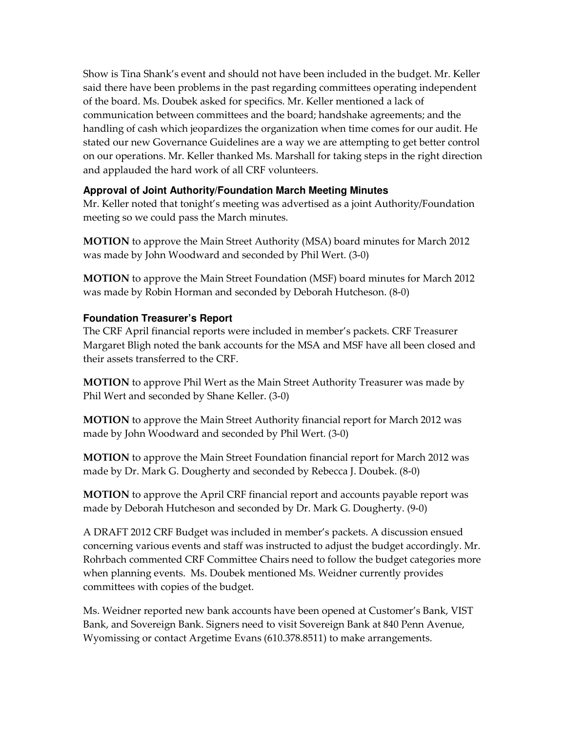Show is Tina Shank's event and should not have been included in the budget. Mr. Keller said there have been problems in the past regarding committees operating independent of the board. Ms. Doubek asked for specifics. Mr. Keller mentioned a lack of communication between committees and the board; handshake agreements; and the handling of cash which jeopardizes the organization when time comes for our audit. He stated our new Governance Guidelines are a way we are attempting to get better control on our operations. Mr. Keller thanked Ms. Marshall for taking steps in the right direction and applauded the hard work of all CRF volunteers.

#### **Approval of Joint Authority/Foundation March Meeting Minutes**

Mr. Keller noted that tonight's meeting was advertised as a joint Authority/Foundation meeting so we could pass the March minutes.

MOTION to approve the Main Street Authority (MSA) board minutes for March 2012 was made by John Woodward and seconded by Phil Wert. (3-0)

MOTION to approve the Main Street Foundation (MSF) board minutes for March 2012 was made by Robin Horman and seconded by Deborah Hutcheson. (8-0)

#### **Foundation Treasurer's Report**

The CRF April financial reports were included in member's packets. CRF Treasurer Margaret Bligh noted the bank accounts for the MSA and MSF have all been closed and their assets transferred to the CRF.

MOTION to approve Phil Wert as the Main Street Authority Treasurer was made by Phil Wert and seconded by Shane Keller. (3-0)

MOTION to approve the Main Street Authority financial report for March 2012 was made by John Woodward and seconded by Phil Wert. (3-0)

MOTION to approve the Main Street Foundation financial report for March 2012 was made by Dr. Mark G. Dougherty and seconded by Rebecca J. Doubek. (8-0)

MOTION to approve the April CRF financial report and accounts payable report was made by Deborah Hutcheson and seconded by Dr. Mark G. Dougherty. (9-0)

A DRAFT 2012 CRF Budget was included in member's packets. A discussion ensued concerning various events and staff was instructed to adjust the budget accordingly. Mr. Rohrbach commented CRF Committee Chairs need to follow the budget categories more when planning events. Ms. Doubek mentioned Ms. Weidner currently provides committees with copies of the budget.

Ms. Weidner reported new bank accounts have been opened at Customer's Bank, VIST Bank, and Sovereign Bank. Signers need to visit Sovereign Bank at 840 Penn Avenue, Wyomissing or contact Argetime Evans (610.378.8511) to make arrangements.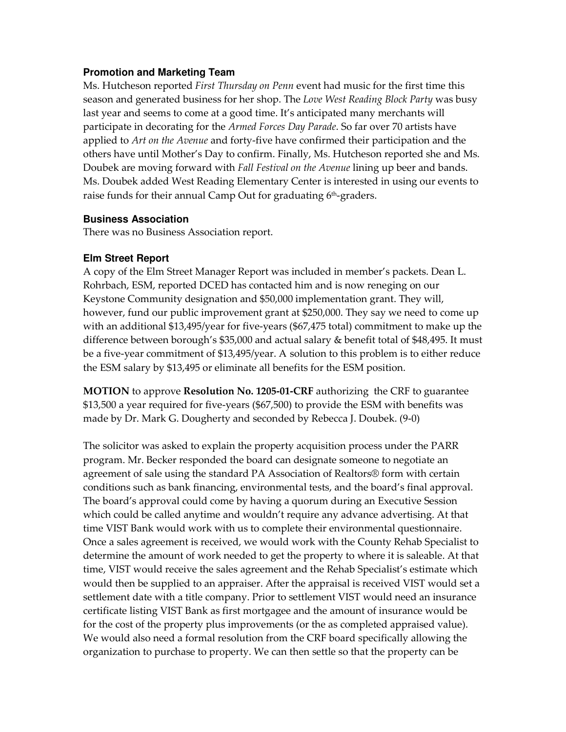#### **Promotion and Marketing Team**

Ms. Hutcheson reported *First Thursday on Penn* event had music for the first time this season and generated business for her shop. The Love West Reading Block Party was busy last year and seems to come at a good time. It's anticipated many merchants will participate in decorating for the Armed Forces Day Parade. So far over 70 artists have applied to Art on the Avenue and forty-five have confirmed their participation and the others have until Mother's Day to confirm. Finally, Ms. Hutcheson reported she and Ms. Doubek are moving forward with *Fall Festival on the Avenue* lining up beer and bands. Ms. Doubek added West Reading Elementary Center is interested in using our events to raise funds for their annual Camp Out for graduating  $6<sup>th</sup>$ -graders.

#### **Business Association**

There was no Business Association report.

#### **Elm Street Report**

A copy of the Elm Street Manager Report was included in member's packets. Dean L. Rohrbach, ESM, reported DCED has contacted him and is now reneging on our Keystone Community designation and \$50,000 implementation grant. They will, however, fund our public improvement grant at \$250,000. They say we need to come up with an additional \$13,495/year for five-years (\$67,475 total) commitment to make up the difference between borough's \$35,000 and actual salary & benefit total of \$48,495. It must be a five-year commitment of \$13,495/year. A solution to this problem is to either reduce the ESM salary by \$13,495 or eliminate all benefits for the ESM position.

MOTION to approve Resolution No. 1205-01-CRF authorizing the CRF to guarantee \$13,500 a year required for five-years (\$67,500) to provide the ESM with benefits was made by Dr. Mark G. Dougherty and seconded by Rebecca J. Doubek. (9-0)

The solicitor was asked to explain the property acquisition process under the PARR program. Mr. Becker responded the board can designate someone to negotiate an agreement of sale using the standard PA Association of Realtors® form with certain conditions such as bank financing, environmental tests, and the board's final approval. The board's approval could come by having a quorum during an Executive Session which could be called anytime and wouldn't require any advance advertising. At that time VIST Bank would work with us to complete their environmental questionnaire. Once a sales agreement is received, we would work with the County Rehab Specialist to determine the amount of work needed to get the property to where it is saleable. At that time, VIST would receive the sales agreement and the Rehab Specialist's estimate which would then be supplied to an appraiser. After the appraisal is received VIST would set a settlement date with a title company. Prior to settlement VIST would need an insurance certificate listing VIST Bank as first mortgagee and the amount of insurance would be for the cost of the property plus improvements (or the as completed appraised value). We would also need a formal resolution from the CRF board specifically allowing the organization to purchase to property. We can then settle so that the property can be